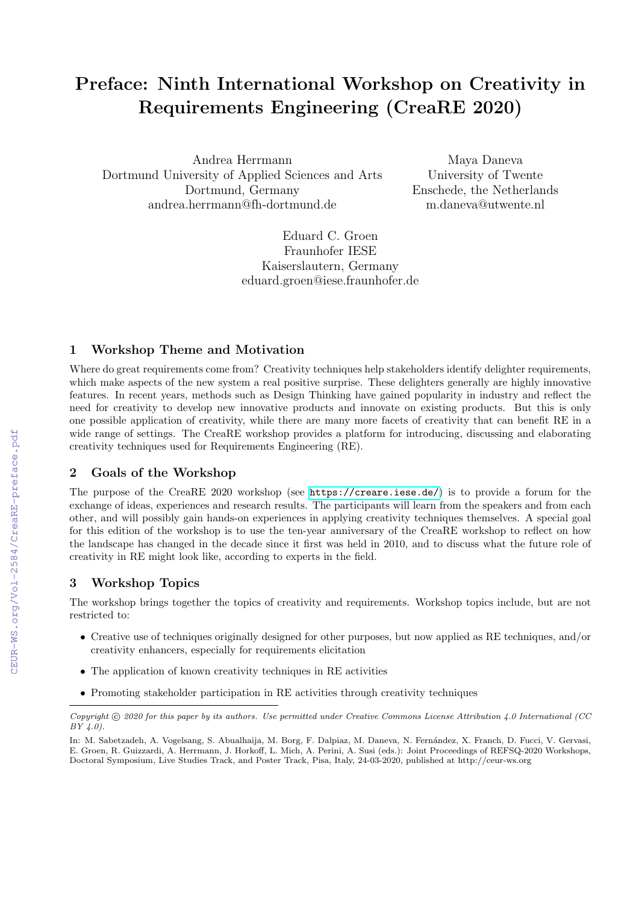# Preface: Ninth International Workshop on Creativity in Requirements Engineering (CreaRE 2020)

Andrea Herrmann Dortmund University of Applied Sciences and Arts Dortmund, Germany andrea.herrmann@fh-dortmund.de

Maya Daneva University of Twente Enschede, the Netherlands m.daneva@utwente.nl

Eduard C. Groen Fraunhofer IESE Kaiserslautern, Germany eduard.groen@iese.fraunhofer.de

#### 1 Workshop Theme and Motivation

Where do great requirements come from? Creativity techniques help stakeholders identify delighter requirements, which make aspects of the new system a real positive surprise. These delighters generally are highly innovative features. In recent years, methods such as Design Thinking have gained popularity in industry and reflect the need for creativity to develop new innovative products and innovate on existing products. But this is only one possible application of creativity, while there are many more facets of creativity that can benefit RE in a wide range of settings. The CreaRE workshop provides a platform for introducing, discussing and elaborating creativity techniques used for Requirements Engineering (RE).

#### 2 Goals of the Workshop

The purpose of the CreaRE 2020 workshop (see <https://creare.iese.de/>) is to provide a forum for the exchange of ideas, experiences and research results. The participants will learn from the speakers and from each other, and will possibly gain hands-on experiences in applying creativity techniques themselves. A special goal for this edition of the workshop is to use the ten-year anniversary of the CreaRE workshop to reflect on how the landscape has changed in the decade since it first was held in 2010, and to discuss what the future role of creativity in RE might look like, according to experts in the field.

### 3 Workshop Topics

The workshop brings together the topics of creativity and requirements. Workshop topics include, but are not restricted to:

- Creative use of techniques originally designed for other purposes, but now applied as RE techniques, and/or creativity enhancers, especially for requirements elicitation
- The application of known creativity techniques in RE activities
- Promoting stakeholder participation in RE activities through creativity techniques

 $Copyright © 2020 for this paper by its authors. Use permitted under Creative Commons License Attribution 4.0 International (CC)$  $BY(4.0).$ 

In: M. Sabetzadeh, A. Vogelsang, S. Abualhaija, M. Borg, F. Dalpiaz, M. Daneva, N. Fernández, X. Franch, D. Fucci, V. Gervasi, E. Groen, R. Guizzardi, A. Herrmann, J. Horkoff, L. Mich, A. Perini, A. Susi (eds.): Joint Proceedings of REFSQ-2020 Workshops, Doctoral Symposium, Live Studies Track, and Poster Track, Pisa, Italy, 24-03-2020, published at http://ceur-ws.org